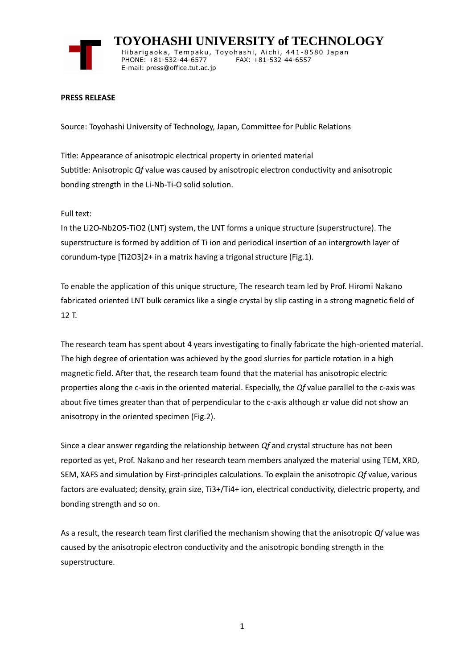

 **TOYOHASHI UNIVERSITY of TECHNOLOGY** Hibarigaoka, Tempaku, Toyohashi, Aichi, 441-8580 Japan PHONE: +81-532-44-6577 FAX: +81-532-44-6557 E-mail: press@office.tut.ac.jp

## **PRESS RELEASE**

Source: Toyohashi University of Technology, Japan, Committee for Public Relations

Title: Appearance of anisotropic electrical property in oriented material Subtitle: Anisotropic *Qf* value was caused by anisotropic electron conductivity and anisotropic bonding strength in the Li-Nb-Ti-O solid solution.

Full text:

In the Li2O-Nb2O5-TiO2 (LNT) system, the LNT forms a unique structure (superstructure). The superstructure is formed by addition of Ti ion and periodical insertion of an intergrowth layer of corundum-type [Ti2O3]2+ in a matrix having a trigonal structure (Fig.1).

To enable the application of this unique structure, The research team led by Prof. Hiromi Nakano fabricated oriented LNT bulk ceramics like a single crystal by slip casting in a strong magnetic field of 12 T.

The research team has spent about 4 years investigating to finally fabricate the high-oriented material. The high degree of orientation was achieved by the good slurries for particle rotation in a high magnetic field. After that, the research team found that the material has anisotropic electric properties along the c-axis in the oriented material. Especially, the *Qf* value parallel to the c-axis was about five times greater than that of perpendicular to the c-axis although  $\epsilon$ r value did not show an anisotropy in the oriented specimen (Fig.2).

Since a clear answer regarding the relationship between *Qf* and crystal structure has not been reported as yet, Prof. Nakano and her research team members analyzed the material using TEM, XRD, SEM, XAFS and simulation by First-principles calculations. To explain the anisotropic *Qf* value, various factors are evaluated; density, grain size, Ti3+/Ti4+ ion, electrical conductivity, dielectric property, and bonding strength and so on.

As a result, the research team first clarified the mechanism showing that the anisotropic *Qf* value was caused by the anisotropic electron conductivity and the anisotropic bonding strength in the superstructure.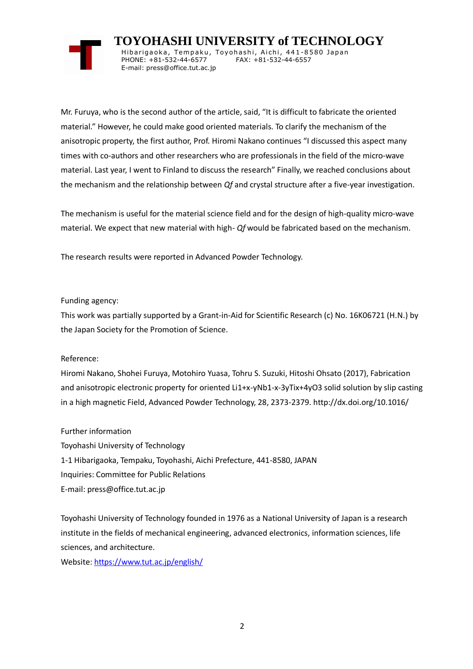

 **TOYOHASHI UNIVERSITY of TECHNOLOGY** Hibarigaoka, Tempaku, Toyohashi, Aichi, 441-8580 Japan PHONE: +81-532-44-6577 FAX: +81-532-44-6557 E-mail: press@office.tut.ac.jp

Mr. Furuya, who is the second author of the article, said, "It is difficult to fabricate the oriented material." However, he could make good oriented materials. To clarify the mechanism of the anisotropic property, the first author, Prof. Hiromi Nakano continues "I discussed this aspect many times with co-authors and other researchers who are professionals in the field of the micro-wave material. Last year, I went to Finland to discuss the research" Finally, we reached conclusions about the mechanism and the relationship between *Qf* and crystal structure after a five-year investigation.

The mechanism is useful for the material science field and for the design of high-quality micro-wave material. We expect that new material with high- *Qf* would be fabricated based on the mechanism.

The research results were reported in Advanced Powder Technology.

## Funding agency:

This work was partially supported by a Grant-in-Aid for Scientific Research (c) No. 16K06721 (H.N.) by the Japan Society for the Promotion of Science.

## Reference:

Hiromi Nakano, Shohei Furuya, Motohiro Yuasa, Tohru S. Suzuki, Hitoshi Ohsato (2017), Fabrication and anisotropic electronic property for oriented Li1+x-yNb1-x-3yTix+4yO3 solid solution by slip casting in a high magnetic Field, Advanced Powder Technology, 28, 2373-2379. http://dx.doi.org/10.1016/

Further information Toyohashi University of Technology 1-1 Hibarigaoka, Tempaku, Toyohashi, Aichi Prefecture, 441-8580, JAPAN Inquiries: Committee for Public Relations E-mail: press@office.tut.ac.jp

Toyohashi University of Technology founded in 1976 as a National University of Japan is a research institute in the fields of mechanical engineering, advanced electronics, information sciences, life sciences, and architecture.

Website[: https://www.tut.ac.jp/english/](https://www.tut.ac.jp/english/)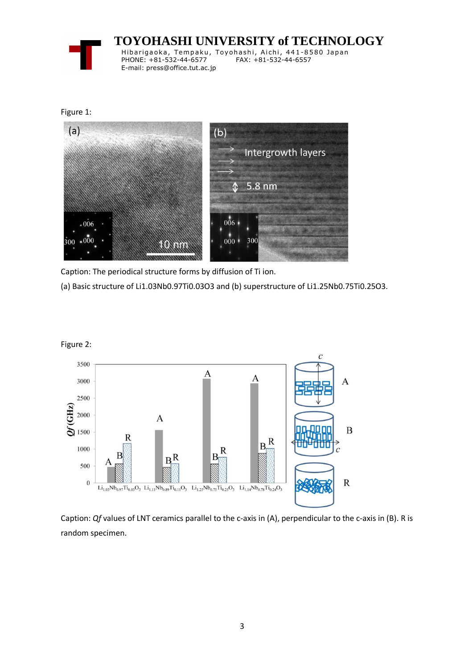

 **TOYOHASHI UNIVERSITY of TECHNOLOGY** Hibarigaoka, Tempaku, Toyohashi, Aichi, 441-8580 Japan PHONE: +81-532-44-6577 FAX: +81-532-44-6557

Figure 1:



Caption: The periodical structure forms by diffusion of Ti ion.

E-mail: press@office.tut.ac.jp

(a) Basic structure of Li1.03Nb0.97Ti0.03O3 and (b) superstructure of Li1.25Nb0.75Ti0.25O3.



Caption: *Qf* values of LNT ceramics parallel to the c-axis in (A), perpendicular to the c-axis in (B). R is random specimen.

Figure 2: